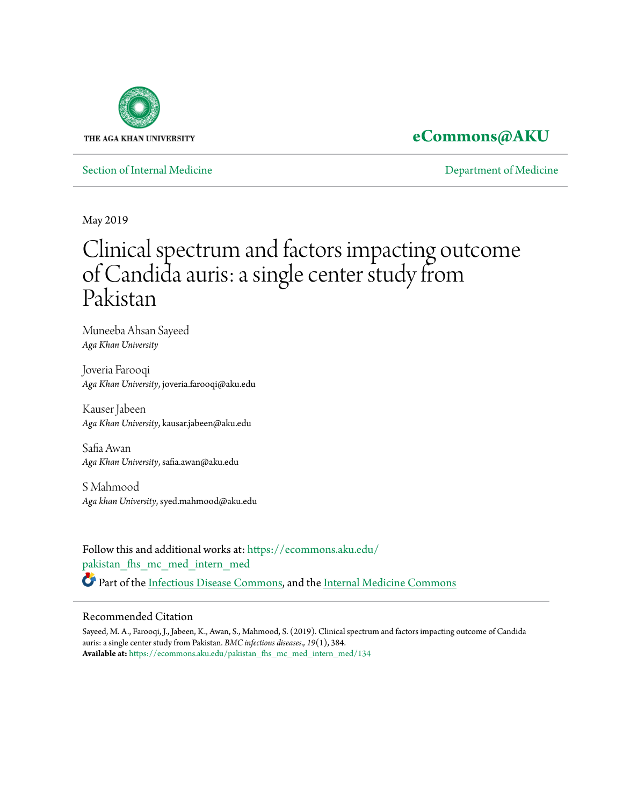

## **[eCommons@AKU](https://ecommons.aku.edu?utm_source=ecommons.aku.edu%2Fpakistan_fhs_mc_med_intern_med%2F134&utm_medium=PDF&utm_campaign=PDFCoverPages)**

[Section of Internal Medicine](https://ecommons.aku.edu/pakistan_fhs_mc_med_intern_med?utm_source=ecommons.aku.edu%2Fpakistan_fhs_mc_med_intern_med%2F134&utm_medium=PDF&utm_campaign=PDFCoverPages) **[Department of Medicine](https://ecommons.aku.edu/pakistan_fhs_mc_med?utm_source=ecommons.aku.edu%2Fpakistan_fhs_mc_med_intern_med%2F134&utm_medium=PDF&utm_campaign=PDFCoverPages)** 

May 2019

## Clinical spectrum and factors impacting outcome of Candida auris: a single center study from Pakistan

Muneeba Ahsan Sayeed *Aga Khan University*

Joveria Farooqi *Aga Khan University*, joveria.farooqi@aku.edu

Kauser Jabeen *Aga Khan University*, kausar.jabeen@aku.edu

Safia Awan *Aga Khan University*, safia.awan@aku.edu

S Mahmood *Aga khan University*, syed.mahmood@aku.edu

Follow this and additional works at: [https://ecommons.aku.edu/](https://ecommons.aku.edu/pakistan_fhs_mc_med_intern_med?utm_source=ecommons.aku.edu%2Fpakistan_fhs_mc_med_intern_med%2F134&utm_medium=PDF&utm_campaign=PDFCoverPages) [pakistan\\_fhs\\_mc\\_med\\_intern\\_med](https://ecommons.aku.edu/pakistan_fhs_mc_med_intern_med?utm_source=ecommons.aku.edu%2Fpakistan_fhs_mc_med_intern_med%2F134&utm_medium=PDF&utm_campaign=PDFCoverPages) Part of the [Infectious Disease Commons,](http://network.bepress.com/hgg/discipline/689?utm_source=ecommons.aku.edu%2Fpakistan_fhs_mc_med_intern_med%2F134&utm_medium=PDF&utm_campaign=PDFCoverPages) and the [Internal Medicine Commons](http://network.bepress.com/hgg/discipline/1356?utm_source=ecommons.aku.edu%2Fpakistan_fhs_mc_med_intern_med%2F134&utm_medium=PDF&utm_campaign=PDFCoverPages)

## Recommended Citation

Sayeed, M. A., Farooqi, J., Jabeen, K., Awan, S., Mahmood, S. (2019). Clinical spectrum and factors impacting outcome of Candida auris: a single center study from Pakistan. *BMC infectious diseases., 19*(1), 384. **Available at:** [https://ecommons.aku.edu/pakistan\\_fhs\\_mc\\_med\\_intern\\_med/134](https://ecommons.aku.edu/pakistan_fhs_mc_med_intern_med/134)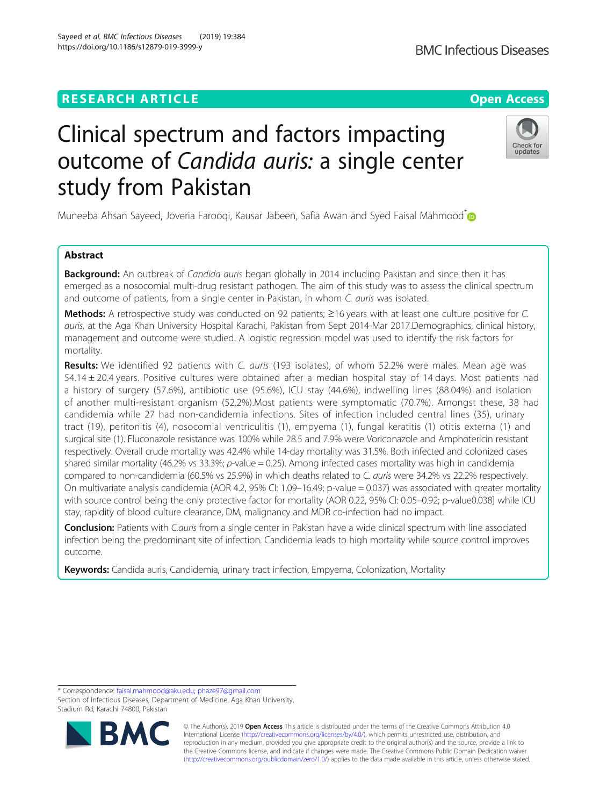## **RESEARCH ARTICLE Example 2014 12:30 The Contract of Contract ACCESS**

# Clinical spectrum and factors impacting outcome of Candida auris: a single center study from Pakistan

Muneeba Ahsan Sayeed, Joveria Farooqi, Kausar Jabeen, Safia Awan and Syed Faisal Mahmood<sup>[\\*](http://orcid.org/0000-0002-3390-7659)</sup>

### Abstract

**Background:** An outbreak of *Candida auris* began globally in 2014 including Pakistan and since then it has emerged as a nosocomial multi-drug resistant pathogen. The aim of this study was to assess the clinical spectrum and outcome of patients, from a single center in Pakistan, in whom C. auris was isolated.

Methods: A retrospective study was conducted on 92 patients; ≥16 years with at least one culture positive for C. auris, at the Aga Khan University Hospital Karachi, Pakistan from Sept 2014-Mar 2017.Demographics, clinical history, management and outcome were studied. A logistic regression model was used to identify the risk factors for mortality.

Results: We identified 92 patients with C. auris (193 isolates), of whom 52.2% were males. Mean age was 54.14 ± 20.4 years. Positive cultures were obtained after a median hospital stay of 14 days. Most patients had a history of surgery (57.6%), antibiotic use (95.6%), ICU stay (44.6%), indwelling lines (88.04%) and isolation of another multi-resistant organism (52.2%).Most patients were symptomatic (70.7%). Amongst these, 38 had candidemia while 27 had non-candidemia infections. Sites of infection included central lines (35), urinary tract (19), peritonitis (4), nosocomial ventriculitis (1), empyema (1), fungal keratitis (1) otitis externa (1) and surgical site (1). Fluconazole resistance was 100% while 28.5 and 7.9% were Voriconazole and Amphotericin resistant respectively. Overall crude mortality was 42.4% while 14-day mortality was 31.5%. Both infected and colonized cases shared similar mortality (46.2% vs 33.3%; p-value = 0.25). Among infected cases mortality was high in candidemia compared to non-candidemia (60.5% vs 25.9%) in which deaths related to C. auris were 34.2% vs 22.2% respectively. On multivariate analysis candidemia (AOR 4.2, 95% CI: 1.09–16.49; p-value = 0.037) was associated with greater mortality with source control being the only protective factor for mortality (AOR 0.22, 95% CI: 0.05–0.92; p-value0.038] while ICU stay, rapidity of blood culture clearance, DM, malignancy and MDR co-infection had no impact.

Conclusion: Patients with C.auris from a single center in Pakistan have a wide clinical spectrum with line associated infection being the predominant site of infection. Candidemia leads to high mortality while source control improves outcome.

Keywords: Candida auris, Candidemia, urinary tract infection, Empyema, Colonization, Mortality

\* Correspondence: [faisal.mahmood@aku.edu](mailto:faisal.mahmood@aku.edu); [phaze97@gmail.com](mailto:phaze97@gmail.com)

**BM** 

Section of Infectious Diseases, Department of Medicine, Aga Khan University, Stadium Rd, Karachi 74800, Pakistan





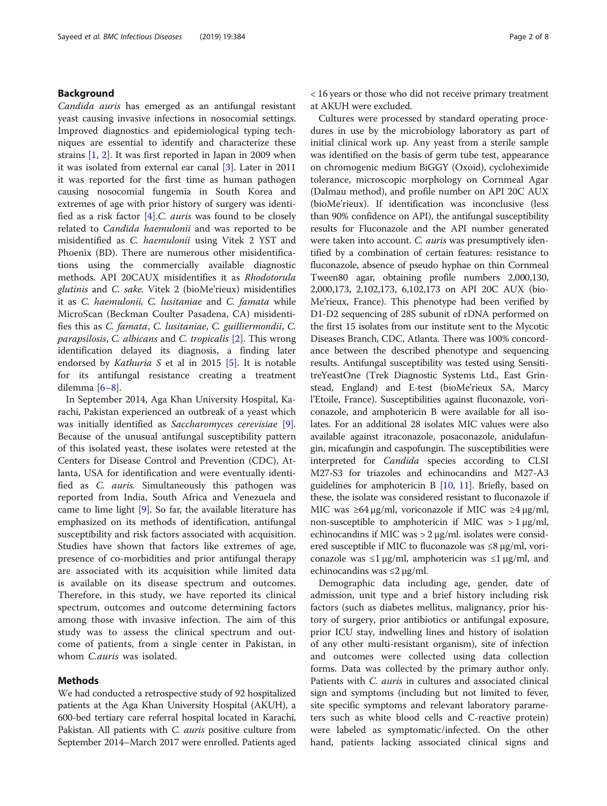#### Background

Candida auris has emerged as an antifungal resistant yeast causing invasive infections in nosocomial settings. Improved diagnostics and epidemiological typing techniques are essential to identify and characterize these strains [[1,](#page-8-0) [2\]](#page-8-0). It was first reported in Japan in 2009 when it was isolated from external ear canal [\[3](#page-8-0)]. Later in 2011 it was reported for the first time as human pathogen causing nosocomial fungemia in South Korea and extremes of age with prior history of surgery was identified as a risk factor  $[4]$  $[4]$  $[4]$ .C. *auris* was found to be closely related to Candida haemulonii and was reported to be misidentified as C. haemulonii using Vitek 2 YST and Phoenix (BD). There are numerous other misidentifications using the commercially available diagnostic methods. API 20CAUX misidentifies it as Rhodotorula glutinis and C. sake. Vitek 2 (bioMe'rieux) misidentifies it as C. haemulonii, C. lusitaniae and C. famata while MicroScan (Beckman Coulter Pasadena, CA) misidentifies this as C. famata, C. lusitaniae, C. guilliermondii, C. parapsilosis, C. albicans and C. tropicalis [[2\]](#page-8-0). This wrong identification delayed its diagnosis, a finding later endorsed by Kathuria S et al in 2015 [[5\]](#page-8-0). It is notable for its antifungal resistance creating a treatment dilemma [\[6](#page-8-0)–[8](#page-8-0)].

In September 2014, Aga Khan University Hospital, Karachi, Pakistan experienced an outbreak of a yeast which was initially identified as Saccharomyces cerevisiae [\[9](#page-8-0)]. Because of the unusual antifungal susceptibility pattern of this isolated yeast, these isolates were retested at the Centers for Disease Control and Prevention (CDC), Atlanta, USA for identification and were eventually identified as C. auris. Simultaneously this pathogen was reported from India, South Africa and Venezuela and came to lime light [[9\]](#page-8-0). So far, the available literature has emphasized on its methods of identification, antifungal susceptibility and risk factors associated with acquisition. Studies have shown that factors like extremes of age, presence of co-morbidities and prior antifungal therapy are associated with its acquisition while limited data is available on its disease spectrum and outcomes. Therefore, in this study, we have reported its clinical spectrum, outcomes and outcome determining factors among those with invasive infection. The aim of this study was to assess the clinical spectrum and outcome of patients, from a single center in Pakistan, in whom C.auris was isolated.

#### Methods

We had conducted a retrospective study of 92 hospitalized patients at the Aga Khan University Hospital (AKUH), a 600-bed tertiary care referral hospital located in Karachi, Pakistan. All patients with *C. auris* positive culture from September 2014–March 2017 were enrolled. Patients aged < 16 years or those who did not receive primary treatment at AKUH were excluded.

Cultures were processed by standard operating procedures in use by the microbiology laboratory as part of initial clinical work up. Any yeast from a sterile sample was identified on the basis of germ tube test, appearance on chromogenic medium BiGGY (Oxoid), cycloheximide tolerance, microscopic morphology on Cornmeal Agar (Dalmau method), and profile number on API 20C AUX (bioMe'rieux). If identification was inconclusive (less than 90% confidence on API), the antifungal susceptibility results for Fluconazole and the API number generated were taken into account. C. auris was presumptively identified by a combination of certain features: resistance to fluconazole, absence of pseudo hyphae on thin Cornmeal Tween80 agar, obtaining profile numbers 2,000,130, 2,000,173, 2,102,173, 6,102,173 on API 20C AUX (bio-Me'rieux, France). This phenotype had been verified by D1-D2 sequencing of 28S subunit of rDNA performed on the first 15 isolates from our institute sent to the Mycotic Diseases Branch, CDC, Atlanta. There was 100% concordance between the described phenotype and sequencing results. Antifungal susceptibility was tested using SensititreYeastOne (Trek Diagnostic Systems Ltd., East Grinstead, England) and E-test (bioMe'rieux SA, Marcy l'Etoile, France). Susceptibilities against fluconazole, voriconazole, and amphotericin B were available for all isolates. For an additional 28 isolates MIC values were also available against itraconazole, posaconazole, anidulafungin, micafungin and caspofungin. The susceptibilities were interpreted for Candida species according to CLSI M27-S3 for triazoles and echinocandins and M27-A3 guidelines for amphotericin B  $[10, 11]$  $[10, 11]$  $[10, 11]$  $[10, 11]$  $[10, 11]$ . Briefly, based on these, the isolate was considered resistant to fluconazole if MIC was  $\geq 64 \mu$ g/ml, voriconazole if MIC was  $\geq 4 \mu$ g/ml, non-susceptible to amphotericin if MIC was > 1 μg/ml, echinocandins if MIC was  $>$  2  $\mu$ g/ml. isolates were considered susceptible if MIC to fluconazole was ≤8 μg/ml, voriconazole was  $\leq 1 \mu g/ml$ , amphotericin was  $\leq 1 \mu g/ml$ , and echinocandins was  $\leq$ 2 μg/ml.

Demographic data including age, gender, date of admission, unit type and a brief history including risk factors (such as diabetes mellitus, malignancy, prior history of surgery, prior antibiotics or antifungal exposure, prior ICU stay, indwelling lines and history of isolation of any other multi-resistant organism), site of infection and outcomes were collected using data collection forms. Data was collected by the primary author only. Patients with C. auris in cultures and associated clinical sign and symptoms (including but not limited to fever, site specific symptoms and relevant laboratory parameters such as white blood cells and C-reactive protein) were labeled as symptomatic/infected. On the other hand, patients lacking associated clinical signs and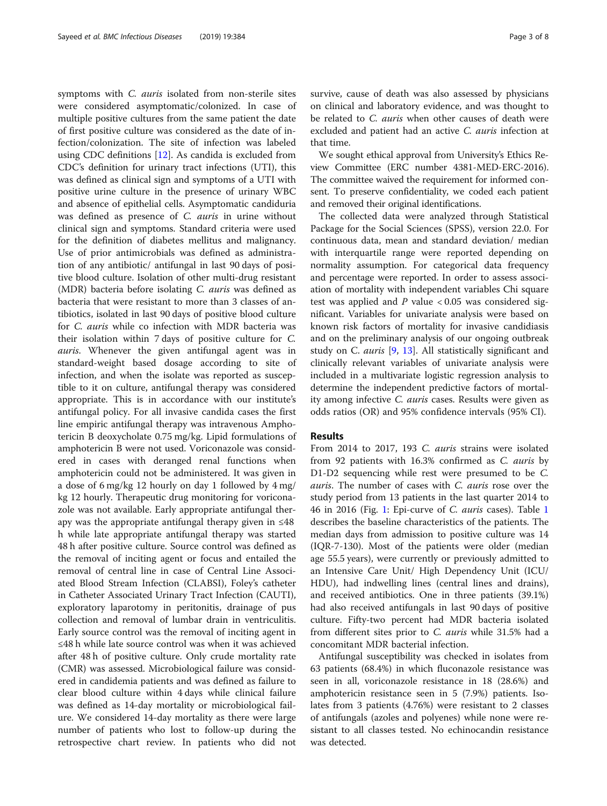symptoms with C. auris isolated from non-sterile sites were considered asymptomatic/colonized. In case of multiple positive cultures from the same patient the date of first positive culture was considered as the date of infection/colonization. The site of infection was labeled using CDC definitions [[12\]](#page-8-0). As candida is excluded from CDC's definition for urinary tract infections (UTI), this was defined as clinical sign and symptoms of a UTI with positive urine culture in the presence of urinary WBC and absence of epithelial cells. Asymptomatic candiduria was defined as presence of C. auris in urine without clinical sign and symptoms. Standard criteria were used for the definition of diabetes mellitus and malignancy. Use of prior antimicrobials was defined as administration of any antibiotic/ antifungal in last 90 days of positive blood culture. Isolation of other multi-drug resistant (MDR) bacteria before isolating C. auris was defined as bacteria that were resistant to more than 3 classes of antibiotics, isolated in last 90 days of positive blood culture for C. auris while co infection with MDR bacteria was their isolation within 7 days of positive culture for C. auris. Whenever the given antifungal agent was in standard-weight based dosage according to site of infection, and when the isolate was reported as susceptible to it on culture, antifungal therapy was considered appropriate. This is in accordance with our institute's antifungal policy. For all invasive candida cases the first line empiric antifungal therapy was intravenous Amphotericin B deoxycholate 0.75 mg/kg. Lipid formulations of amphotericin B were not used. Voriconazole was considered in cases with deranged renal functions when amphotericin could not be administered. It was given in a dose of 6 mg/kg 12 hourly on day 1 followed by 4 mg/ kg 12 hourly. Therapeutic drug monitoring for voriconazole was not available. Early appropriate antifungal therapy was the appropriate antifungal therapy given in ≤48 h while late appropriate antifungal therapy was started 48 h after positive culture. Source control was defined as the removal of inciting agent or focus and entailed the removal of central line in case of Central Line Associated Blood Stream Infection (CLABSI), Foley's catheter in Catheter Associated Urinary Tract Infection (CAUTI), exploratory laparotomy in peritonitis, drainage of pus collection and removal of lumbar drain in ventriculitis. Early source control was the removal of inciting agent in ≤48 h while late source control was when it was achieved after 48 h of positive culture. Only crude mortality rate (CMR) was assessed. Microbiological failure was considered in candidemia patients and was defined as failure to clear blood culture within 4 days while clinical failure was defined as 14-day mortality or microbiological failure. We considered 14-day mortality as there were large number of patients who lost to follow-up during the retrospective chart review. In patients who did not survive, cause of death was also assessed by physicians on clinical and laboratory evidence, and was thought to be related to *C. auris* when other causes of death were excluded and patient had an active *C. auris* infection at that time.

We sought ethical approval from University's Ethics Review Committee (ERC number 4381-MED-ERC-2016). The committee waived the requirement for informed consent. To preserve confidentiality, we coded each patient and removed their original identifications.

The collected data were analyzed through Statistical Package for the Social Sciences (SPSS), version 22.0. For continuous data, mean and standard deviation/ median with interquartile range were reported depending on normality assumption. For categorical data frequency and percentage were reported. In order to assess association of mortality with independent variables Chi square test was applied and  $P$  value  $< 0.05$  was considered significant. Variables for univariate analysis were based on known risk factors of mortality for invasive candidiasis and on the preliminary analysis of our ongoing outbreak study on C. *auris* [\[9](#page-8-0), [13\]](#page-8-0). All statistically significant and clinically relevant variables of univariate analysis were included in a multivariate logistic regression analysis to determine the independent predictive factors of mortality among infective C. auris cases. Results were given as odds ratios (OR) and 95% confidence intervals (95% CI).

#### **Results**

From 2014 to 2017, 193 C. auris strains were isolated from 92 patients with 16.3% confirmed as C. auris by D1-D2 sequencing while rest were presumed to be C. auris. The number of cases with C. auris rose over the study period from 13 patients in the last quarter 2014 to 46 in 2016 (Fig. [1:](#page-4-0) Epi-curve of C. auris cases). Table [1](#page-5-0) describes the baseline characteristics of the patients. The median days from admission to positive culture was 14 (IQR-7-130). Most of the patients were older (median age 55.5 years), were currently or previously admitted to an Intensive Care Unit/ High Dependency Unit (ICU/ HDU), had indwelling lines (central lines and drains), and received antibiotics. One in three patients (39.1%) had also received antifungals in last 90 days of positive culture. Fifty-two percent had MDR bacteria isolated from different sites prior to C. auris while 31.5% had a concomitant MDR bacterial infection.

Antifungal susceptibility was checked in isolates from 63 patients (68.4%) in which fluconazole resistance was seen in all, voriconazole resistance in 18 (28.6%) and amphotericin resistance seen in 5 (7.9%) patients. Isolates from 3 patients (4.76%) were resistant to 2 classes of antifungals (azoles and polyenes) while none were resistant to all classes tested. No echinocandin resistance was detected.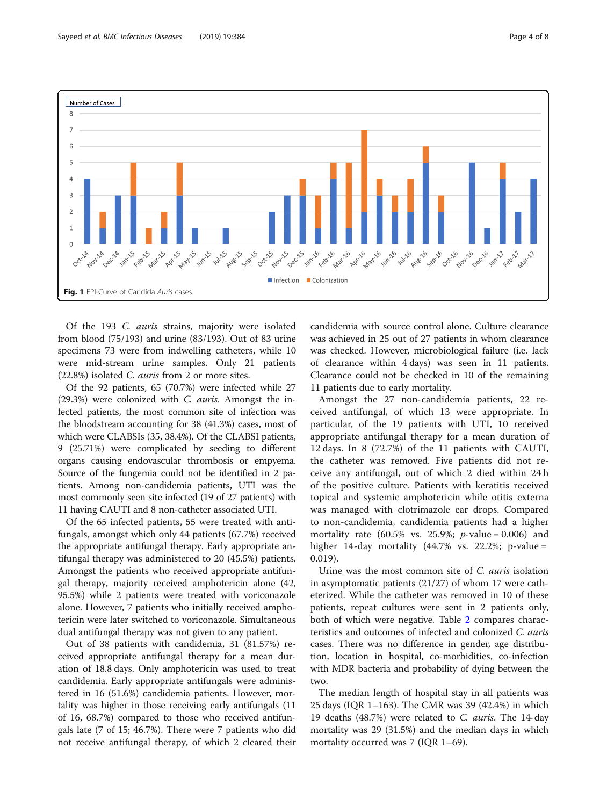<span id="page-4-0"></span>

Of the 193 C. auris strains, majority were isolated from blood (75/193) and urine (83/193). Out of 83 urine specimens 73 were from indwelling catheters, while 10 were mid-stream urine samples. Only 21 patients (22.8%) isolated C. auris from 2 or more sites.

Of the 92 patients, 65 (70.7%) were infected while 27 (29.3%) were colonized with C. auris. Amongst the infected patients, the most common site of infection was the bloodstream accounting for 38 (41.3%) cases, most of which were CLABSIs (35, 38.4%). Of the CLABSI patients, 9 (25.71%) were complicated by seeding to different organs causing endovascular thrombosis or empyema. Source of the fungemia could not be identified in 2 patients. Among non-candidemia patients, UTI was the most commonly seen site infected (19 of 27 patients) with 11 having CAUTI and 8 non-catheter associated UTI.

Of the 65 infected patients, 55 were treated with antifungals, amongst which only 44 patients (67.7%) received the appropriate antifungal therapy. Early appropriate antifungal therapy was administered to 20 (45.5%) patients. Amongst the patients who received appropriate antifungal therapy, majority received amphotericin alone (42, 95.5%) while 2 patients were treated with voriconazole alone. However, 7 patients who initially received amphotericin were later switched to voriconazole. Simultaneous dual antifungal therapy was not given to any patient.

Out of 38 patients with candidemia, 31 (81.57%) received appropriate antifungal therapy for a mean duration of 18.8 days. Only amphotericin was used to treat candidemia. Early appropriate antifungals were administered in 16 (51.6%) candidemia patients. However, mortality was higher in those receiving early antifungals (11 of 16, 68.7%) compared to those who received antifungals late (7 of 15; 46.7%). There were 7 patients who did not receive antifungal therapy, of which 2 cleared their candidemia with source control alone. Culture clearance was achieved in 25 out of 27 patients in whom clearance was checked. However, microbiological failure (i.e. lack of clearance within 4 days) was seen in 11 patients. Clearance could not be checked in 10 of the remaining 11 patients due to early mortality.

Amongst the 27 non-candidemia patients, 22 received antifungal, of which 13 were appropriate. In particular, of the 19 patients with UTI, 10 received appropriate antifungal therapy for a mean duration of 12 days. In 8 (72.7%) of the 11 patients with CAUTI, the catheter was removed. Five patients did not receive any antifungal, out of which 2 died within 24 h of the positive culture. Patients with keratitis received topical and systemic amphotericin while otitis externa was managed with clotrimazole ear drops. Compared to non-candidemia, candidemia patients had a higher mortality rate  $(60.5\% \text{ vs. } 25.9\%; p-value = 0.006)$  and higher 14-day mortality (44.7% vs. 22.2%; p-value = 0.019).

Urine was the most common site of C. auris isolation in asymptomatic patients (21/27) of whom 17 were catheterized. While the catheter was removed in 10 of these patients, repeat cultures were sent in 2 patients only, both of which were negative. Table [2](#page-6-0) compares characteristics and outcomes of infected and colonized C. auris cases. There was no difference in gender, age distribution, location in hospital, co-morbidities, co-infection with MDR bacteria and probability of dying between the two.

The median length of hospital stay in all patients was 25 days (IQR 1–163). The CMR was 39 (42.4%) in which 19 deaths (48.7%) were related to C. auris. The 14-day mortality was 29 (31.5%) and the median days in which mortality occurred was 7 (IQR 1–69).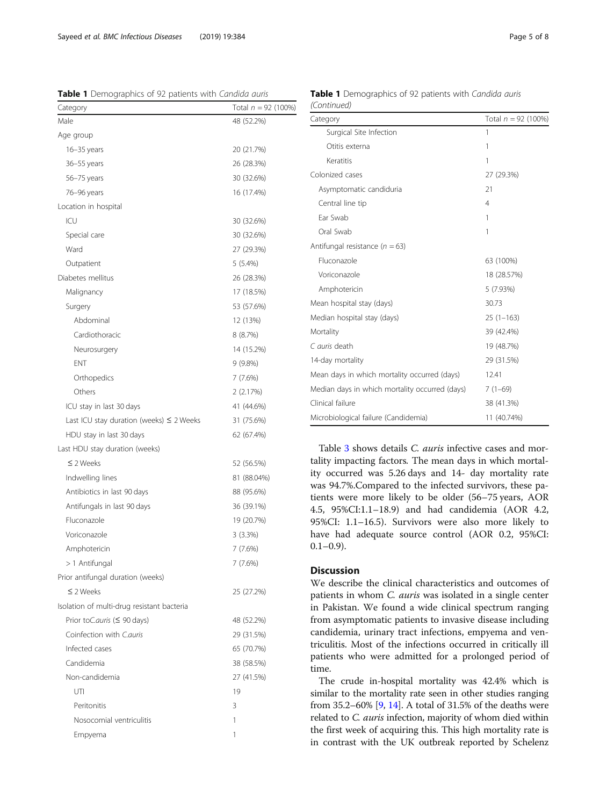<span id="page-5-0"></span>Sayeed et al. BMC Infectious Diseases (2019) 19:384 Page 5 of 8

Table 1 Demographics of 92 patients with Candida auris

| Category                                      | Total $n = 92$ (100%) |
|-----------------------------------------------|-----------------------|
| Male                                          | 48 (52.2%)            |
| Age group                                     |                       |
| $16 - 35$ years                               | 20 (21.7%)            |
| 36-55 years                                   | 26 (28.3%)            |
| 56-75 years                                   | 30 (32.6%)            |
| 76–96 years                                   | 16 (17.4%)            |
| Location in hospital                          |                       |
| ICU                                           | 30 (32.6%)            |
| Special care                                  | 30 (32.6%)            |
| Ward                                          | 27 (29.3%)            |
| Outpatient                                    | 5(5.4%)               |
| Diabetes mellitus                             | 26 (28.3%)            |
| Malignancy                                    | 17 (18.5%)            |
| Surgery                                       | 53 (57.6%)            |
| Abdominal                                     | 12 (13%)              |
| Cardiothoracic                                | 8 (8.7%)              |
| Neurosurgery                                  | 14 (15.2%)            |
| <b>ENT</b>                                    | $9(9.8\%)$            |
| Orthopedics                                   | 7 (7.6%)              |
| Others                                        | 2 (2.17%)             |
| ICU stay in last 30 days                      | 41 (44.6%)            |
| Last ICU stay duration (weeks) $\leq$ 2 Weeks | 31 (75.6%)            |
| HDU stay in last 30 days                      | 62 (67.4%)            |
| Last HDU stay duration (weeks)                |                       |
| $\leq$ 2 Weeks                                | 52 (56.5%)            |
| Indwelling lines                              | 81 (88.04%)           |
| Antibiotics in last 90 days                   | 88 (95.6%)            |
| Antifungals in last 90 days                   | 36 (39.1%)            |
| Fluconazole                                   | 19 (20.7%)            |
| Voriconazole                                  | 3(3.3%)               |
| Amphotericin                                  | 7(7.6%)               |
| > 1 Antifungal                                | 7 (7.6%)              |
| Prior antifungal duration (weeks)             |                       |
| $\leq$ 2 Weeks                                | 25 (27.2%)            |
| Isolation of multi-drug resistant bacteria    |                       |
| Prior toC.auris (≤ 90 days)                   | 48 (52.2%)            |
| Coinfection with Cauris                       | 29 (31.5%)            |
| Infected cases                                | 65 (70.7%)            |
| Candidemia                                    | 38 (58.5%)            |
| Non-candidemia                                | 27 (41.5%)            |
| UTI                                           | 19                    |
| Peritonitis                                   | 3                     |
| Nosocomial ventriculitis                      | 1                     |
| Empyema                                       | 1                     |
|                                               |                       |

| Category                                       | Total $n = 92$ (100%) |
|------------------------------------------------|-----------------------|
| Surgical Site Infection                        | 1                     |
| Otitis externa                                 | 1                     |
| Keratitis                                      | 1                     |
| Colonized cases                                | 27 (29.3%)            |
| Asymptomatic candiduria                        | 21                    |
| Central line tip                               | $\overline{4}$        |
| Ear Swab                                       | 1                     |
| Oral Swab                                      | 1                     |
| Antifungal resistance ( $n = 63$ )             |                       |
| Fluconazole                                    | 63 (100%)             |
| Voriconazole                                   | 18 (28.57%)           |
| Amphotericin                                   | 5 (7.93%)             |
| Mean hospital stay (days)                      | 30.73                 |
| Median hospital stay (days)                    | $25(1-163)$           |
| Mortality                                      | 39 (42.4%)            |
| C auris death                                  | 19 (48.7%)            |
| 14-day mortality                               | 29 (31.5%)            |
| Mean days in which mortality occurred (days)   | 12.41                 |
| Median days in which mortality occurred (days) | $7(1-69)$             |
| Clinical failure                               | 38 (41.3%)            |
| Microbiological failure (Candidemia)           | 11 (40.74%)           |

#### Table 1 Demographics of 92 patients with Candida auris (Continued)

Table [3](#page-7-0) shows details *C. auris* infective cases and mortality impacting factors. The mean days in which mortality occurred was 5.26 days and 14- day mortality rate was 94.7%.Compared to the infected survivors, these patients were more likely to be older (56–75 years, AOR 4.5, 95%CI:1.1–18.9) and had candidemia (AOR 4.2, 95%CI: 1.1–16.5). Survivors were also more likely to have had adequate source control (AOR 0.2, 95%CI:  $0.1-0.9$ ).

### **Discussion**

We describe the clinical characteristics and outcomes of patients in whom C. auris was isolated in a single center in Pakistan. We found a wide clinical spectrum ranging from asymptomatic patients to invasive disease including candidemia, urinary tract infections, empyema and ventriculitis. Most of the infections occurred in critically ill patients who were admitted for a prolonged period of time.

The crude in-hospital mortality was 42.4% which is similar to the mortality rate seen in other studies ranging from 35.2–60% [\[9](#page-8-0), [14\]](#page-8-0). A total of 31.5% of the deaths were related to *C. auris* infection, majority of whom died within the first week of acquiring this. This high mortality rate is in contrast with the UK outbreak reported by Schelenz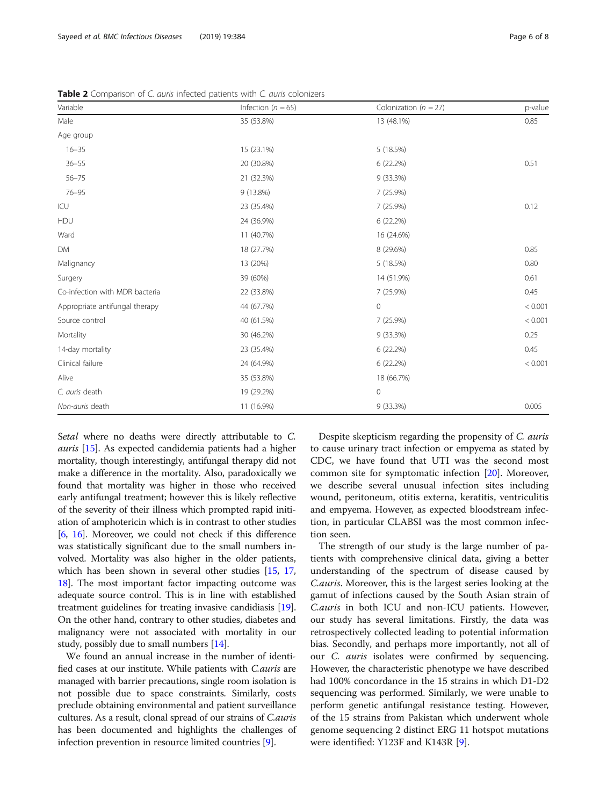Setal where no deaths were directly attributable to C. auris [\[15](#page-8-0)]. As expected candidemia patients had a higher mortality, though interestingly, antifungal therapy did not make a difference in the mortality. Also, paradoxically we found that mortality was higher in those who received early antifungal treatment; however this is likely reflective of the severity of their illness which prompted rapid initiation of amphotericin which is in contrast to other studies [[6,](#page-8-0) [16\]](#page-8-0). Moreover, we could not check if this difference was statistically significant due to the small numbers involved. Mortality was also higher in the older patients, which has been shown in several other studies [\[15](#page-8-0), [17](#page-8-0), [18](#page-8-0)]. The most important factor impacting outcome was adequate source control. This is in line with established treatment guidelines for treating invasive candidiasis [[19](#page-8-0)]. On the other hand, contrary to other studies, diabetes and malignancy were not associated with mortality in our study, possibly due to small numbers [\[14\]](#page-8-0).

We found an annual increase in the number of identified cases at our institute. While patients with C.auris are managed with barrier precautions, single room isolation is not possible due to space constraints. Similarly, costs preclude obtaining environmental and patient surveillance cultures. As a result, clonal spread of our strains of C.auris has been documented and highlights the challenges of infection prevention in resource limited countries [[9\]](#page-8-0).

Despite skepticism regarding the propensity of C. auris to cause urinary tract infection or empyema as stated by CDC, we have found that UTI was the second most common site for symptomatic infection [\[20\]](#page-8-0). Moreover, we describe several unusual infection sites including wound, peritoneum, otitis externa, keratitis, ventriculitis and empyema. However, as expected bloodstream infection, in particular CLABSI was the most common infection seen.

The strength of our study is the large number of patients with comprehensive clinical data, giving a better understanding of the spectrum of disease caused by C.auris. Moreover, this is the largest series looking at the gamut of infections caused by the South Asian strain of C.auris in both ICU and non-ICU patients. However, our study has several limitations. Firstly, the data was retrospectively collected leading to potential information bias. Secondly, and perhaps more importantly, not all of our C. auris isolates were confirmed by sequencing. However, the characteristic phenotype we have described had 100% concordance in the 15 strains in which D1-D2 sequencing was performed. Similarly, we were unable to perform genetic antifungal resistance testing. However, of the 15 strains from Pakistan which underwent whole genome sequencing 2 distinct ERG 11 hotspot mutations were identified: Y123F and K143R [[9](#page-8-0)].

Table 2 Comparison of C. auris infected patients with C. auris colonizers

| Variable                       | Infection ( $n = 65$ ) | Colonization ( $n = 27$ ) | p-value |  |
|--------------------------------|------------------------|---------------------------|---------|--|
| Male                           | 35 (53.8%)             | 13 (48.1%)                | 0.85    |  |
| Age group                      |                        |                           |         |  |
| $16 - 35$                      | 15 (23.1%)             | 5 (18.5%)                 |         |  |
| $36 - 55$                      | 20 (30.8%)             | 6(22.2%)                  | 0.51    |  |
| $56 - 75$                      | 21 (32.3%)             | 9 (33.3%)                 |         |  |
| $76 - 95$                      | 9 (13.8%)              | 7 (25.9%)                 |         |  |
| ICU                            | 23 (35.4%)             | 7 (25.9%)                 | 0.12    |  |
| <b>HDU</b>                     | 24 (36.9%)             | 6(22.2%)                  |         |  |
| Ward                           | 11 (40.7%)             | 16 (24.6%)                |         |  |
| DM                             | 18 (27.7%)             | 8 (29.6%)                 | 0.85    |  |
| Malignancy                     | 13 (20%)               | 5 (18.5%)                 | 0.80    |  |
| Surgery                        | 39 (60%)               | 14 (51.9%)                | 0.61    |  |
| Co-infection with MDR bacteria | 22 (33.8%)             | 7 (25.9%)                 | 0.45    |  |
| Appropriate antifungal therapy | 44 (67.7%)             | $\circ$                   | < 0.001 |  |
| Source control                 | 40 (61.5%)             | 7 (25.9%)                 | < 0.001 |  |
| Mortality                      | 30 (46.2%)             | 9 (33.3%)                 | 0.25    |  |
| 14-day mortality               | 23 (35.4%)             | 6(22.2%)                  | 0.45    |  |
| Clinical failure               | 24 (64.9%)             | 6 (22.2%)                 | < 0.001 |  |
| Alive                          | 35 (53.8%)             | 18 (66.7%)                |         |  |
| C. auris death                 | 19 (29.2%)             | $\mathbf 0$               |         |  |
| Non-auris death                | 11 (16.9%)             | 9 (33.3%)                 | 0.005   |  |

<span id="page-6-0"></span>Sayeed et al. BMC Infectious Diseases (2019) 19:384 Page 6 of 8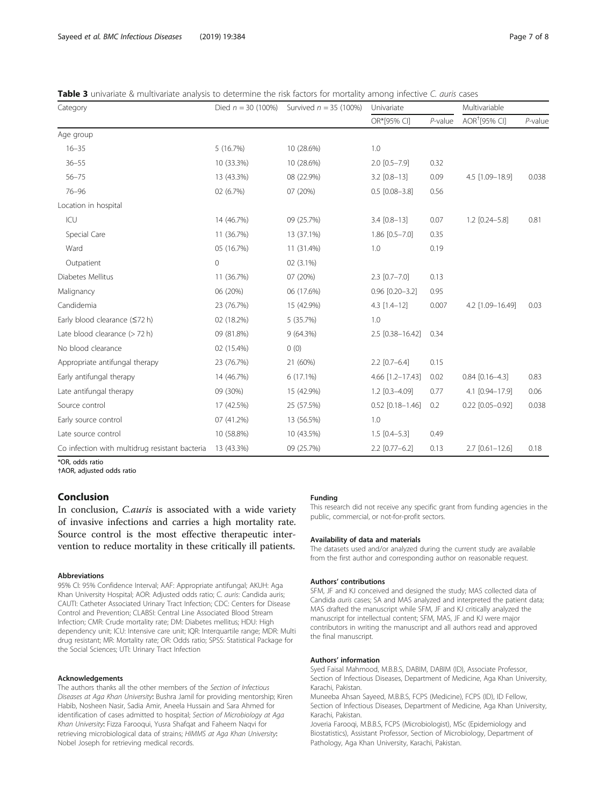<span id="page-7-0"></span>

|  |  | <b>Table 3</b> univariate & multivariate analysis to determine the risk factors for mortality among infective C. <i>quris</i> cases |  |  |  |  |  |  |  |  |  |
|--|--|-------------------------------------------------------------------------------------------------------------------------------------|--|--|--|--|--|--|--|--|--|
|--|--|-------------------------------------------------------------------------------------------------------------------------------------|--|--|--|--|--|--|--|--|--|

| Category                                       | Died $n = 30$ (100%) | Survived $n = 35$ (100%) | Univariate            |            | Multivariable             |            |
|------------------------------------------------|----------------------|--------------------------|-----------------------|------------|---------------------------|------------|
|                                                |                      |                          | OR*[95% CI]           | $P$ -value | AOR <sup>+</sup> [95% CI] | $P$ -value |
| Age group                                      |                      |                          |                       |            |                           |            |
| $16 - 35$                                      | 5(16.7%)             | 10 (28.6%)               | 1.0                   |            |                           |            |
| $36 - 55$                                      | 10 (33.3%)           | 10 (28.6%)               | $2.0$ $[0.5 - 7.9]$   | 0.32       |                           |            |
| $56 - 75$                                      | 13 (43.3%)           | 08 (22.9%)               | $3.2$ [0.8-13]        | 0.09       | 4.5 [1.09-18.9]           | 0.038      |
| $76 - 96$                                      | 02 (6.7%)            | 07 (20%)                 | $0.5$ [0.08-3.8]      | 0.56       |                           |            |
| Location in hospital                           |                      |                          |                       |            |                           |            |
| ICU                                            | 14 (46.7%)           | 09 (25.7%)               | $3.4$ $[0.8-13]$      | 0.07       | $1.2$ $[0.24 - 5.8]$      | 0.81       |
| Special Care                                   | 11 (36.7%)           | 13 (37.1%)               | $1.86$ $[0.5 - 7.0]$  | 0.35       |                           |            |
| Ward                                           | 05 (16.7%)           | 11 (31.4%)               | 1.0                   | 0.19       |                           |            |
| Outpatient                                     | $\mathbf 0$          | 02 (3.1%)                |                       |            |                           |            |
| Diabetes Mellitus                              | 11 (36.7%)           | 07 (20%)                 | $2.3$ [0.7-7.0]       | 0.13       |                           |            |
| Malignancy                                     | 06 (20%)             | 06 (17.6%)               | $0.96$ $[0.20 - 3.2]$ | 0.95       |                           |            |
| Candidemia                                     | 23 (76.7%)           | 15 (42.9%)               | $4.3$ [1.4-12]        | 0.007      | 4.2 [1.09-16.49]          | 0.03       |
| Early blood clearance (≤72 h)                  | 02 (18.2%)           | 5 (35.7%)                | 1.0                   |            |                           |            |
| Late blood clearance (> 72 h)                  | 09 (81.8%)           | 9(64.3%)                 | 2.5 [0.38-16.42]      | 0.34       |                           |            |
| No blood clearance                             | 02 (15.4%)           | 0(0)                     |                       |            |                           |            |
| Appropriate antifungal therapy                 | 23 (76.7%)           | 21 (60%)                 | $2.2$ [0.7-6.4]       | 0.15       |                           |            |
| Early antifungal therapy                       | 14 (46.7%)           | $6(17.1\%)$              | 4.66 [1.2-17.43]      | 0.02       | $0.84$ $[0.16 - 4.3]$     | 0.83       |
| Late antifungal therapy                        | 09 (30%)             | 15 (42.9%)               | $1.2$ [0.3-4.09]      | 0.77       | 4.1 [0.94-17.9]           | 0.06       |
| Source control                                 | 17 (42.5%)           | 25 (57.5%)               | $0.52$ [0.18-1.46]    | 0.2        | $0.22$ $[0.05 - 0.92]$    | 0.038      |
| Early source control                           | 07 (41.2%)           | 13 (56.5%)               | 1.0                   |            |                           |            |
| Late source control                            | 10 (58.8%)           | 10 (43.5%)               | $1.5$ [0.4-5.3]       | 0.49       |                           |            |
| Co infection with multidrug resistant bacteria | 13 (43.3%)           | 09 (25.7%)               | $2.2$ [0.77-6.2]      | 0.13       | $2.7$ [0.61-12.6]         | 0.18       |

\*OR, odds ratio

†AOR, adjusted odds ratio

#### Conclusion

In conclusion, C.auris is associated with a wide variety of invasive infections and carries a high mortality rate. Source control is the most effective therapeutic intervention to reduce mortality in these critically ill patients.

#### Abbreviations

95% CI: 95% Confidence Interval; AAF: Appropriate antifungal; AKUH: Aga Khan University Hospital; AOR: Adjusted odds ratio; C. auris: Candida auris; CAUTI: Catheter Associated Urinary Tract Infection; CDC: Centers for Disease Control and Prevention; CLABSI: Central Line Associated Blood Stream Infection; CMR: Crude mortality rate; DM: Diabetes mellitus; HDU: High dependency unit; ICU: Intensive care unit; IQR: Interquartile range; MDR: Multi drug resistant; MR: Mortality rate; OR: Odds ratio; SPSS: Statistical Package for the Social Sciences; UTI: Urinary Tract Infection

#### Acknowledgements

The authors thanks all the other members of the Section of Infectious Diseases at Aga Khan University: Bushra Jamil for providing mentorship; Kiren Habib, Nosheen Nasir, Sadia Amir, Aneela Hussain and Sara Ahmed for identification of cases admitted to hospital; Section of Microbiology at Aga Khan University: Fizza Farooqui, Yusra Shafqat and Faheem Naqvi for retrieving microbiological data of strains; HIMMS at Aga Khan University: Nobel Joseph for retrieving medical records.

#### Funding

This research did not receive any specific grant from funding agencies in the public, commercial, or not-for-profit sectors.

#### Availability of data and materials

The datasets used and/or analyzed during the current study are available from the first author and corresponding author on reasonable request.

#### Authors' contributions

SFM, JF and KJ conceived and designed the study; MAS collected data of Candida auris cases; SA and MAS analyzed and interpreted the patient data; MAS drafted the manuscript while SFM, JF and KJ critically analyzed the manuscript for intellectual content; SFM, MAS, JF and KJ were major contributors in writing the manuscript and all authors read and approved the final manuscript.

#### Authors' information

Syed Faisal Mahmood, M.B.B.S, DABIM, DABIM (ID), Associate Professor, Section of Infectious Diseases, Department of Medicine, Aga Khan University, Karachi, Pakistan.

Muneeba Ahsan Sayeed, M.B.B.S, FCPS (Medicine), FCPS (ID), ID Fellow, Section of Infectious Diseases, Department of Medicine, Aga Khan University, Karachi, Pakistan.

Joveria Farooqi, M.B.B.S, FCPS (Microbiologist), MSc (Epidemiology and Biostatistics), Assistant Professor, Section of Microbiology, Department of Pathology, Aga Khan University, Karachi, Pakistan.